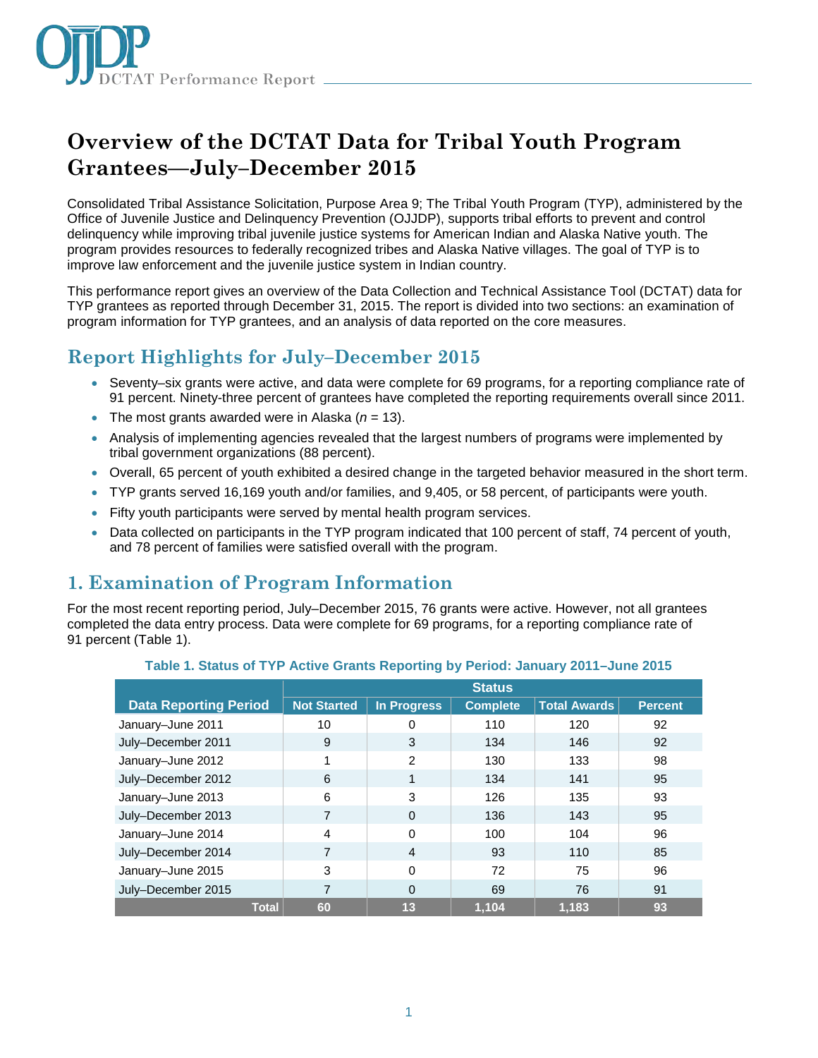

# **Overview of the DCTAT Data for Tribal Youth Program Grantees—July–December 2015**

Consolidated Tribal Assistance Solicitation, Purpose Area 9; The Tribal Youth Program (TYP), administered by the Office of Juvenile Justice and Delinquency Prevention (OJJDP), supports tribal efforts to prevent and control delinquency while improving tribal juvenile justice systems for American Indian and Alaska Native youth. The program provides resources to federally recognized tribes and Alaska Native villages. The goal of TYP is to improve law enforcement and the juvenile justice system in Indian country.

This performance report gives an overview of the Data Collection and Technical Assistance Tool (DCTAT) data for TYP grantees as reported through December 31, 2015. The report is divided into two sections: an examination of program information for TYP grantees, and an analysis of data reported on the core measures.

# **Report Highlights for July–December 2015**

- Seventy–six grants were active, and data were complete for 69 programs, for a reporting compliance rate of 91 percent. Ninety-three percent of grantees have completed the reporting requirements overall since 2011.
- The most grants awarded were in Alaska  $(n = 13)$ .
- Analysis of implementing agencies revealed that the largest numbers of programs were implemented by tribal government organizations (88 percent).
- Overall, 65 percent of youth exhibited a desired change in the targeted behavior measured in the short term.
- TYP grants served 16,169 youth and/or families, and 9,405, or 58 percent, of participants were youth.
- Fifty youth participants were served by mental health program services.
- Data collected on participants in the TYP program indicated that 100 percent of staff, 74 percent of youth, and 78 percent of families were satisfied overall with the program.

## **1. Examination of Program Information**

For the most recent reporting period, July–December 2015, 76 grants were active. However, not all grantees completed the data entry process. Data were complete for 69 programs, for a reporting compliance rate of 91 percent (Table 1).

|                              | <b>Status</b>      |               |                 |                     |                |
|------------------------------|--------------------|---------------|-----------------|---------------------|----------------|
| <b>Data Reporting Period</b> | <b>Not Started</b> | In Progress   | <b>Complete</b> | <b>Total Awards</b> | <b>Percent</b> |
| January-June 2011            | 10                 | 0             | 110             | 120                 | 92             |
| July-December 2011           | 9                  | 3             | 134             | 146                 | 92             |
| January-June 2012            |                    | $\mathcal{P}$ | 130             | 133                 | 98             |
| July-December 2012           | 6                  | 1             | 134             | 141                 | 95             |
| January-June 2013            | 6                  | 3             | 126             | 135                 | 93             |
| July-December 2013           | 7                  | $\Omega$      | 136             | 143                 | 95             |
| January-June 2014            | $\overline{4}$     | $\Omega$      | 100             | 104                 | 96             |
| July-December 2014           | 7                  | 4             | 93              | 110                 | 85             |
| January-June 2015            | 3                  | $\Omega$      | 72              | 75                  | 96             |
| July-December 2015           | 7                  | $\Omega$      | 69              | 76                  | 91             |
| <b>Total</b>                 | 60                 | 13            | 1.104           | 1.183               | 93             |

#### **Table 1. Status of TYP Active Grants Reporting by Period: January 2011–June 2015**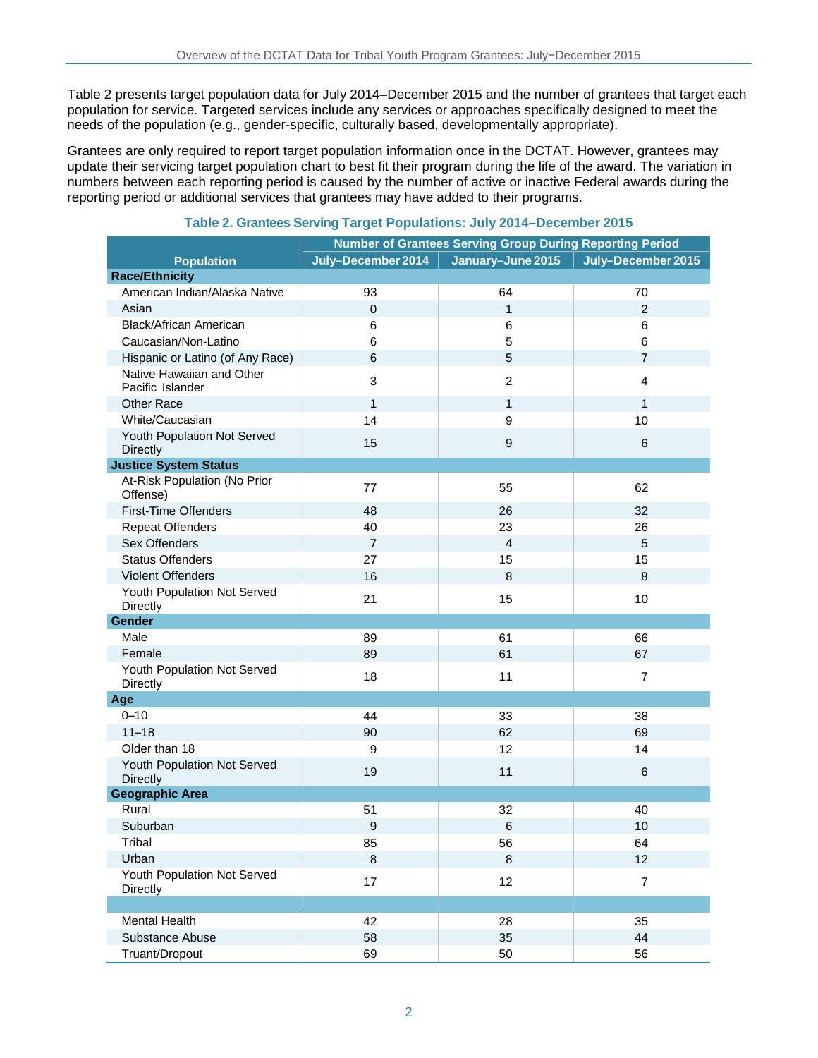Table 2 presents target population data for July 2014–December 2015 and the number of grantees that target each population for service. Targeted services include any services or approaches specifically designed to meet the needs of the population (e.g., gender-specific, culturally based, developmentally appropriate).

Grantees are only required to report target population information once in the DCTAT. However, grantees may update their servicing target population chart to best fit their program during the life of the award. The variation in numbers between each reporting period is caused by the number of active or inactive Federal awards during the reporting period or additional services that grantees may have added to their programs.

|                                                | <b>Number of Grantees Serving Group During Reporting Period</b> |                   |                    |  |
|------------------------------------------------|-----------------------------------------------------------------|-------------------|--------------------|--|
| <b>Population</b>                              | July-December 2014                                              | January-June 2015 | July-December 2015 |  |
| <b>Race/Ethnicity</b>                          |                                                                 |                   |                    |  |
| American Indian/Alaska Native                  | 93                                                              | 64                | 70                 |  |
| Asian                                          | $\pmb{0}$                                                       | $\mathbf{1}$      | $\overline{2}$     |  |
| <b>Black/African American</b>                  | 6                                                               | 6                 | 6                  |  |
| Caucasian/Non-Latino                           | 6                                                               | 5                 | 6                  |  |
| Hispanic or Latino (of Any Race)               | 6                                                               | 5                 | $\overline{7}$     |  |
| Native Hawaiian and Other<br>Pacific Islander  | 3                                                               | $\overline{2}$    | $\overline{4}$     |  |
| <b>Other Race</b>                              | $\mathbf{1}$                                                    | $\mathbf{1}$      | $\mathbf{1}$       |  |
| White/Caucasian                                | 14                                                              | 9                 | 10                 |  |
| Youth Population Not Served<br><b>Directly</b> | 15                                                              | 9                 | 6                  |  |
| <b>Justice System Status</b>                   |                                                                 |                   |                    |  |
| At-Risk Population (No Prior<br>Offense)       | 77                                                              | 55                | 62                 |  |
| <b>First-Time Offenders</b>                    | 48                                                              | 26                | 32                 |  |
| <b>Repeat Offenders</b>                        | 40                                                              | 23                | 26                 |  |
| Sex Offenders                                  | $\overline{7}$                                                  | $\overline{4}$    | 5                  |  |
| <b>Status Offenders</b>                        | 27                                                              | 15                | 15                 |  |
| <b>Violent Offenders</b>                       | 16                                                              | 8                 | 8                  |  |
| Youth Population Not Served<br>Directly        | 21                                                              | 15                | 10                 |  |
| Gender                                         |                                                                 |                   |                    |  |
| Male                                           | 89                                                              | 61                | 66                 |  |
| Female                                         | 89                                                              | 61                | 67                 |  |
| Youth Population Not Served<br>Directly        | 18                                                              | 11                | $\overline{7}$     |  |
| Age                                            |                                                                 |                   |                    |  |
| $0 - 10$                                       | 44                                                              | 33                | 38                 |  |
| $11 - 18$                                      | 90                                                              | 62                | 69                 |  |
| Older than 18                                  | 9                                                               | 12                | 14                 |  |
| Youth Population Not Served<br><b>Directly</b> | 19                                                              | 11                | 6                  |  |
| <b>Geographic Area</b>                         |                                                                 |                   |                    |  |
| Rural                                          | 51                                                              | 32                | 40                 |  |
| Suburban                                       | 9                                                               | 6                 | 10                 |  |
| Tribal                                         | 85                                                              | 56                | 64                 |  |
| Urban                                          | $\,8\,$                                                         | 8                 | 12                 |  |
| Youth Population Not Served<br>Directly        | 17                                                              | 12                | $\overline{7}$     |  |
|                                                |                                                                 |                   |                    |  |
| <b>Mental Health</b>                           | 42                                                              | 28                | 35                 |  |
| Substance Abuse                                | 58                                                              | 35                | 44                 |  |
| Truant/Dropout                                 | 69                                                              | 50                | 56                 |  |

#### **Table 2. Grantees Serving Target Populations: July 2014–December 2015**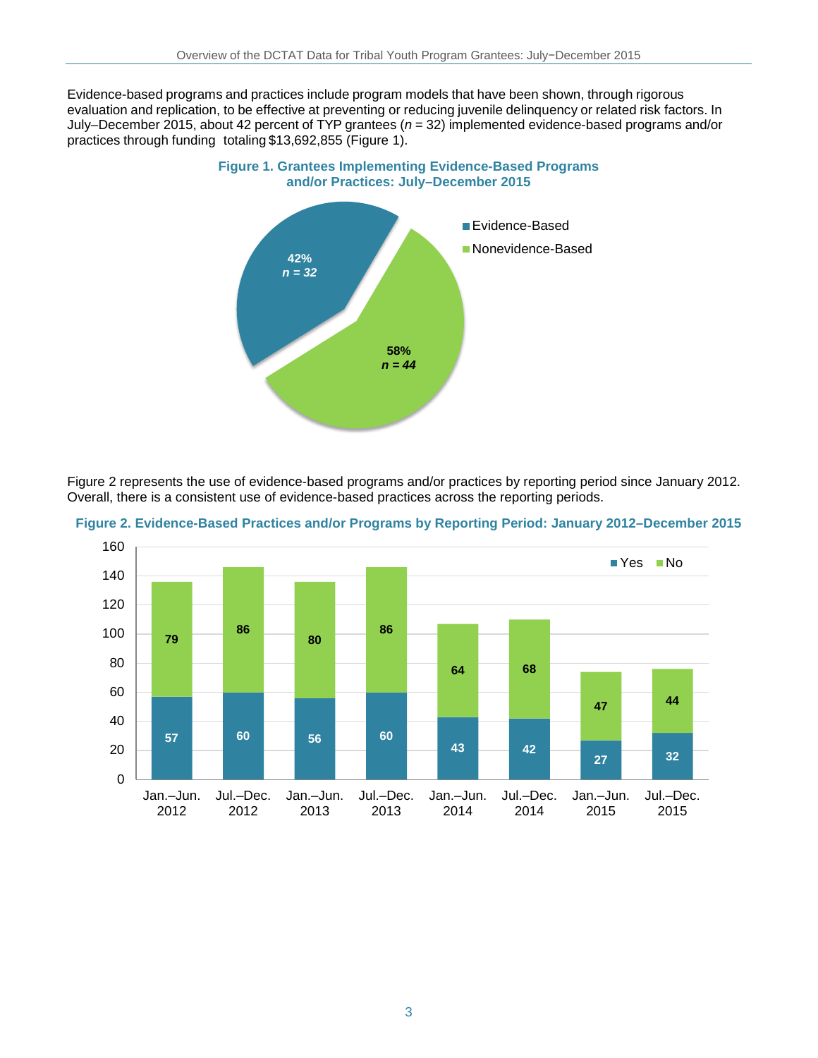Evidence-based programs and practices include program models that have been shown, through rigorous evaluation and replication, to be effective at preventing or reducing juvenile delinquency or related risk factors. In July–December 2015, about 42 percent of TYP grantees (*n* = 32) implemented evidence-based programs and/or practices through funding totaling \$13,692,855 (Figure 1).



Figure 2 represents the use of evidence-based programs and/or practices by reporting period since January 2012. Overall, there is a consistent use of evidence-based practices across the reporting periods.



**Figure 2. Evidence-Based Practices and/or Programs by Reporting Period: January 2012–December 2015**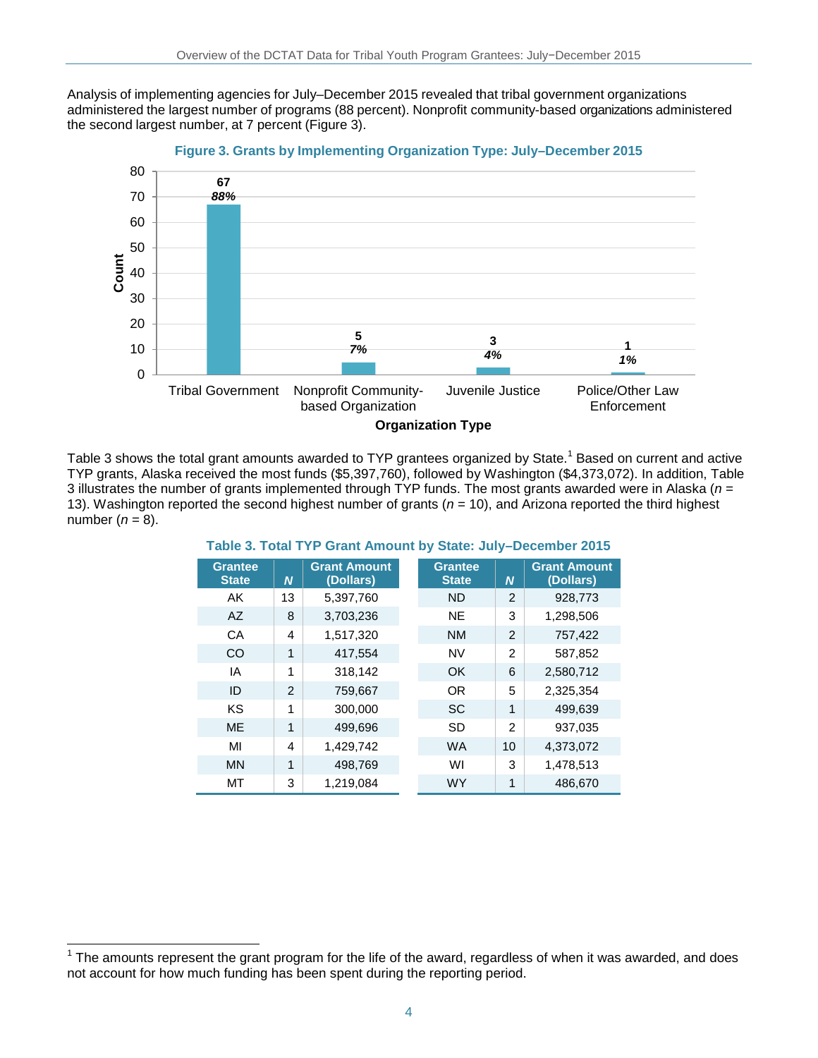Analysis of implementing agencies for July–December 2015 revealed that tribal government organizations administered the largest number of programs (88 percent). Nonprofit community-based organizations administered the second largest number, at 7 percent (Figure 3).



Table 3 shows the total grant amounts awarded to TYP grantees organized by State.<sup>1</sup> Based on current and active TYP grants, Alaska received the most funds (\$5,397,760), followed by Washington (\$4,373,072). In addition, Table 3 illustrates the number of grants implemented through TYP funds. The most grants awarded were in Alaska (*n* = 13). Washington reported the second highest number of grants (*n* = 10), and Arizona reported the third highest number  $(n = 8)$ .

| <b>Grantee</b><br><b>State</b> | N              | <b>Grant Amount</b><br>(Dollars) | <b>Grantee</b><br><b>State</b> | N              | <b>Grant Amount</b><br>(Dollars) |
|--------------------------------|----------------|----------------------------------|--------------------------------|----------------|----------------------------------|
| AK                             | 13             | 5,397,760                        | <b>ND</b>                      | $\overline{2}$ | 928,773                          |
| AZ                             | 8              | 3,703,236                        | <b>NE</b>                      | 3              | 1,298,506                        |
| CA                             | 4              | 1,517,320                        | <b>NM</b>                      | 2              | 757,422                          |
| CO                             | 1              | 417,554                          | <b>NV</b>                      | 2              | 587,852                          |
| ΙA                             | 1              | 318,142                          | OK                             | 6              | 2,580,712                        |
| ID                             | $\mathfrak{p}$ | 759,667                          | <b>OR</b>                      | 5              | 2,325,354                        |
| KS                             | 1              | 300,000                          | <b>SC</b>                      | 1              | 499,639                          |
| <b>ME</b>                      | 1              | 499,696                          | SD                             | $\mathfrak{p}$ | 937,035                          |
| MI                             | 4              | 1,429,742                        | <b>WA</b>                      | 10             | 4,373,072                        |
| <b>MN</b>                      | 1              | 498,769                          | WI                             | 3              | 1,478,513                        |
| MT                             | 3              | 1,219,084                        | <b>WY</b>                      | 1              | 486,670                          |

**Table 3. Total TYP Grant Amount by State: July–December 2015**

 $\overline{\phantom{a}}$ 

 $1$  The amounts represent the grant program for the life of the award, regardless of when it was awarded, and does not account for how much funding has been spent during the reporting period.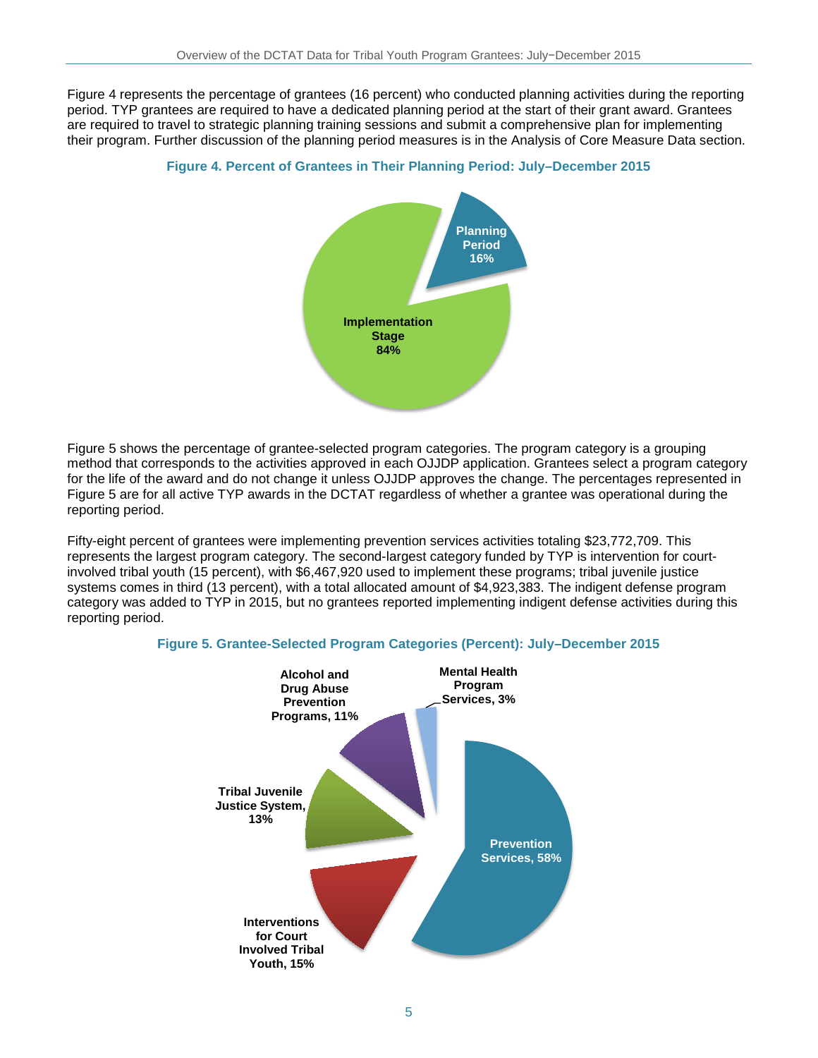Figure 4 represents the percentage of grantees (16 percent) who conducted planning activities during the reporting period. TYP grantees are required to have a dedicated planning period at the start of their grant award. Grantees are required to travel to strategic planning training sessions and submit a comprehensive plan for implementing their program. Further discussion of the planning period measures is in the Analysis of Core Measure Data section.

#### **Figure 4. Percent of Grantees in Their Planning Period: July–December 2015**



Figure 5 shows the percentage of grantee-selected program categories. The program category is a grouping method that corresponds to the activities approved in each OJJDP application. Grantees select a program category for the life of the award and do not change it unless OJJDP approves the change. The percentages represented in Figure 5 are for all active TYP awards in the DCTAT regardless of whether a grantee was operational during the reporting period.

Fifty-eight percent of grantees were implementing prevention services activities totaling \$23,772,709. This represents the largest program category. The second-largest category funded by TYP is intervention for courtinvolved tribal youth (15 percent), with \$6,467,920 used to implement these programs; tribal juvenile justice systems comes in third (13 percent), with a total allocated amount of \$4,923,383. The indigent defense program category was added to TYP in 2015, but no grantees reported implementing indigent defense activities during this reporting period.



#### **Figure 5. Grantee-Selected Program Categories (Percent): July–December 2015**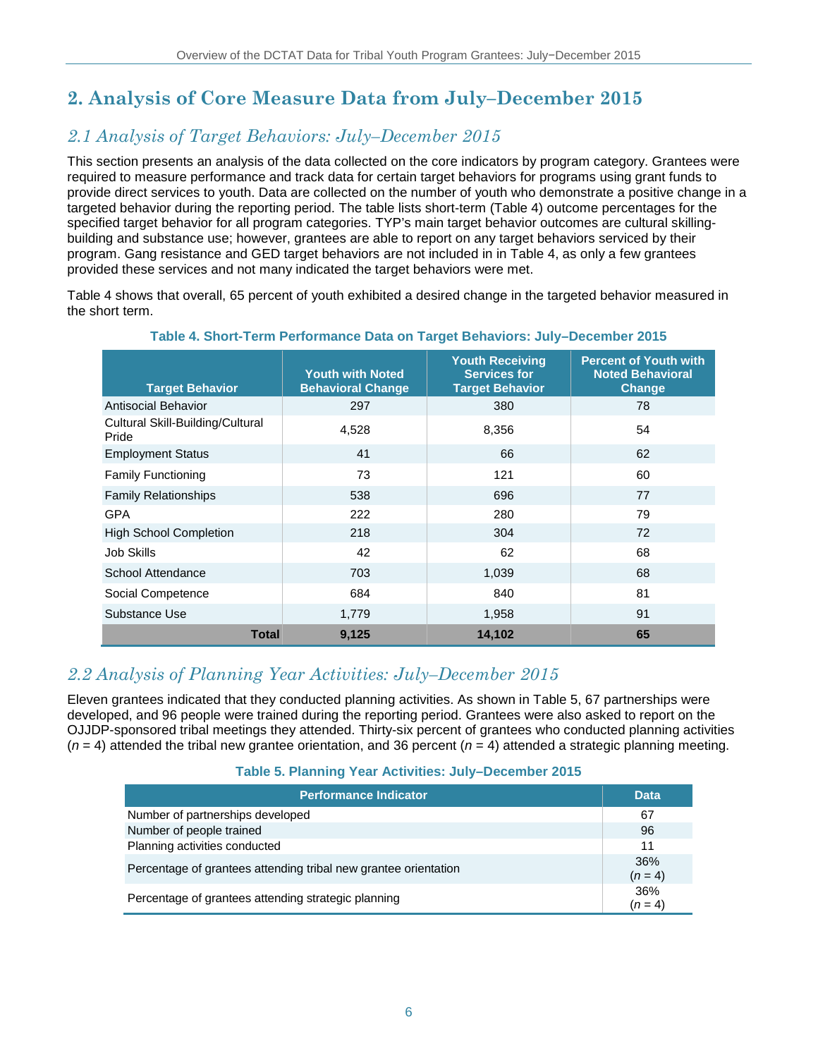# **2. Analysis of Core Measure Data from July–December 2015**

# *2.1 Analysis of Target Behaviors: July–December 2015*

This section presents an analysis of the data collected on the core indicators by program category. Grantees were required to measure performance and track data for certain target behaviors for programs using grant funds to provide direct services to youth. Data are collected on the number of youth who demonstrate a positive change in a targeted behavior during the reporting period. The table lists short-term (Table 4) outcome percentages for the specified target behavior for all program categories. TYP's main target behavior outcomes are cultural skillingbuilding and substance use; however, grantees are able to report on any target behaviors serviced by their program. Gang resistance and GED target behaviors are not included in in Table 4, as only a few grantees provided these services and not many indicated the target behaviors were met.

Table 4 shows that overall, 65 percent of youth exhibited a desired change in the targeted behavior measured in the short term.

| <b>Target Behavior</b>                    | <b>Youth with Noted</b><br><b>Behavioral Change</b> | <b>Youth Receiving</b><br><b>Services for</b><br><b>Target Behavior</b> | <b>Percent of Youth with</b><br><b>Noted Behavioral</b><br>Change |
|-------------------------------------------|-----------------------------------------------------|-------------------------------------------------------------------------|-------------------------------------------------------------------|
| Antisocial Behavior                       | 297                                                 | 380                                                                     | 78                                                                |
| Cultural Skill-Building/Cultural<br>Pride | 4,528                                               | 8,356                                                                   | 54                                                                |
| <b>Employment Status</b>                  | 41                                                  | 66                                                                      | 62                                                                |
| <b>Family Functioning</b>                 | 73                                                  | 121                                                                     | 60                                                                |
| <b>Family Relationships</b>               | 538                                                 | 696                                                                     | 77                                                                |
| <b>GPA</b>                                | 222                                                 | 280                                                                     | 79                                                                |
| <b>High School Completion</b>             | 218                                                 | 304                                                                     | 72                                                                |
| Job Skills                                | 42                                                  | 62                                                                      | 68                                                                |
| School Attendance                         | 703                                                 | 1,039                                                                   | 68                                                                |
| Social Competence                         | 684                                                 | 840                                                                     | 81                                                                |
| Substance Use                             | 1,779                                               | 1,958                                                                   | 91                                                                |
| Total                                     | 9,125                                               | 14,102                                                                  | 65                                                                |

#### **Table 4. Short-Term Performance Data on Target Behaviors: July–December 2015**

### *2.2 Analysis of Planning Year Activities: July–December 2015*

Eleven grantees indicated that they conducted planning activities. As shown in Table 5, 67 partnerships were developed, and 96 people were trained during the reporting period. Grantees were also asked to report on the OJJDP-sponsored tribal meetings they attended. Thirty-six percent of grantees who conducted planning activities  $(n = 4)$  attended the tribal new grantee orientation, and 36 percent  $(n = 4)$  attended a strategic planning meeting.

#### **Table 5. Planning Year Activities: July–December 2015**

| <b>Performance Indicator</b>                                    | <b>Data</b>      |
|-----------------------------------------------------------------|------------------|
| Number of partnerships developed                                | 67               |
| Number of people trained                                        | 96               |
| Planning activities conducted                                   | 11               |
| Percentage of grantees attending tribal new grantee orientation | 36%<br>$(n = 4)$ |
| Percentage of grantees attending strategic planning             | 36%<br>$(n = 4)$ |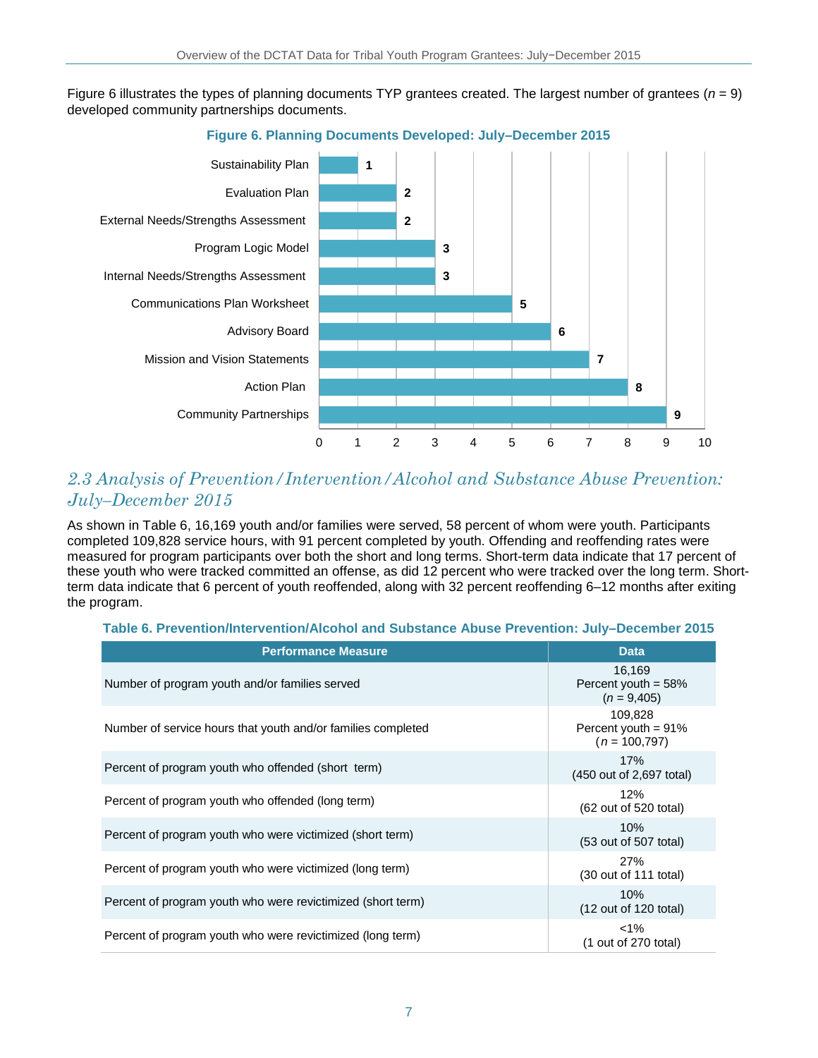Figure 6 illustrates the types of planning documents TYP grantees created. The largest number of grantees (*n* = 9) developed community partnerships documents.



**Figure 6. Planning Documents Developed: July–December 2015**

### *2.3 Analysis of Prevention/Intervention/Alcohol and Substance Abuse Prevention: July–December 2015*

As shown in Table 6, 16,169 youth and/or families were served, 58 percent of whom were youth. Participants completed 109,828 service hours, with 91 percent completed by youth. Offending and reoffending rates were measured for program participants over both the short and long terms. Short-term data indicate that 17 percent of these youth who were tracked committed an offense, as did 12 percent who were tracked over the long term. Shortterm data indicate that 6 percent of youth reoffended, along with 32 percent reoffending 6–12 months after exiting the program.

| <b>Performance Measure</b>                                   | <b>Data</b>                                            |
|--------------------------------------------------------------|--------------------------------------------------------|
| Number of program youth and/or families served               | 16,169<br>Percent youth = $58\%$<br>$(n = 9,405)$      |
| Number of service hours that youth and/or families completed | 109,828<br>Percent youth = $91\%$<br>$(n = 100, 797)$  |
| Percent of program youth who offended (short term)           | 17%<br>(450 out of 2,697 total)                        |
| Percent of program youth who offended (long term)            | 12%<br>(62 out of 520 total)                           |
| Percent of program youth who were victimized (short term)    | 10%<br>(53 out of 507 total)                           |
| Percent of program youth who were victimized (long term)     | <b>27%</b><br>$(30 \text{ out of } 111 \text{ total})$ |
| Percent of program youth who were revictimized (short term)  | 10%<br>$(12 \text{ out of } 120 \text{ total})$        |
| Percent of program youth who were revictimized (long term)   | $<1\%$<br>(1 out of 270 total)                         |